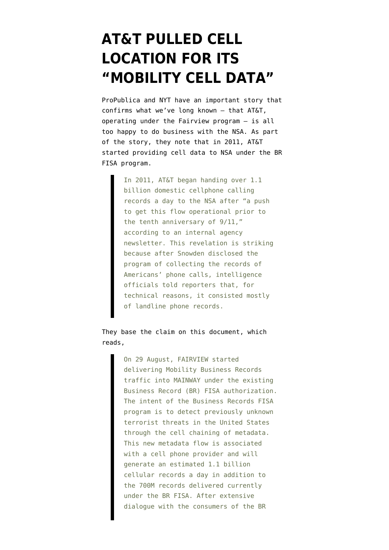## **[AT&T PULLED CELL](https://www.emptywheel.net/2015/08/15/att-pulled-cell-location-for-its-mobility-cell-data/) [LOCATION FOR ITS](https://www.emptywheel.net/2015/08/15/att-pulled-cell-location-for-its-mobility-cell-data/) ["MOBILITY CELL DATA"](https://www.emptywheel.net/2015/08/15/att-pulled-cell-location-for-its-mobility-cell-data/)**

ProPublica and NYT have an [important story](http://www.propublica.org/article/nsa-spying-relies-on-atts-extreme-willingness-to-help) that confirms what we've long known — that AT&T, operating under the Fairview program — is all too happy to do business with the NSA. As part of the story, they note that in 2011, AT&T started providing cell data to NSA under the BR FISA program.

> In 2011, AT&T began handing over 1.1 billion domestic cellphone calling records a day to the NSA after "a push to get this flow operational prior to the tenth anniversary of 9/11," according to an internal agency newsletter. This revelation is striking because after Snowden disclosed the program of collecting the records of Americans' phone calls, intelligence officials told reporters that, for technical reasons, it consisted mostly of landline phone records.

They base the claim on [this document](https://www.documentcloud.org/documents/2274327-sso-news-mobility-business-records-flow.html), which reads,

> On 29 August, FAIRVIEW started delivering Mobility Business Records traffic into MAINWAY under the existing Business Record (BR) FISA authorization. The intent of the Business Records FISA program is to detect previously unknown terrorist threats in the United States through the cell chaining of metadata. This new metadata flow is associated with a cell phone provider and will generate an estimated 1.1 billion cellular records a day in addition to the 700M records delivered currently under the BR FISA. After extensive dialogue with the consumers of the BR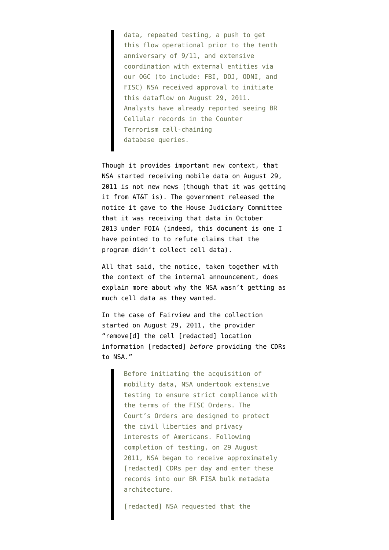data, repeated testing, a push to get this flow operational prior to the tenth anniversary of 9/11, and extensive coordination with external entities via our OGC (to include: FBI, DOJ, ODNI, and FISC) NSA received approval to initiate this dataflow on August 29, 2011. Analysts have already reported seeing BR Cellular records in the Counter Terrorism call-chaining database queries.

Though it provides important new context, that NSA started receiving mobile data on August 29, 2011 is not new news (though that it was getting it from AT&T is). The government released [the](https://www.aclu.org/files/assets/Sept.%201,%202011%20NSA%20Memo%20on%20Congressional%20Notification%20&%20NSA%20Acquisition%20and%20Use%20of%20Telephony%20Metadata.pdf) [notice](https://www.aclu.org/files/assets/Sept.%201,%202011%20NSA%20Memo%20on%20Congressional%20Notification%20&%20NSA%20Acquisition%20and%20Use%20of%20Telephony%20Metadata.pdf) it gave to the House Judiciary Committee that it was receiving that data in October 2013 under FOIA (indeed, this document is one I have pointed to to [refute claims](https://www.emptywheel.net/2014/02/09/the-faulty-premise-of-the-30-call-data-claims-legal-limits-on-geolocation-data/) that the program didn't collect cell data).

All that said, the notice, taken together with the context of the internal announcement, does explain more about why the NSA wasn't getting as much cell data as they wanted.

In the case of Fairview and the collection started on August 29, 2011, the provider "remove[d] the cell [redacted] location information [redacted] *before* providing the CDRs to NSA."

> Before initiating the acquisition of mobility data, NSA undertook extensive testing to ensure strict compliance with the terms of the FISC Orders. The Court's Orders are designed to protect the civil liberties and privacy interests of Americans. Following completion of testing, on 29 August 2011, NSA began to receive approximately [redacted] CDRs per day and enter these records into our BR FISA bulk metadata architecture.

[redacted] NSA requested that the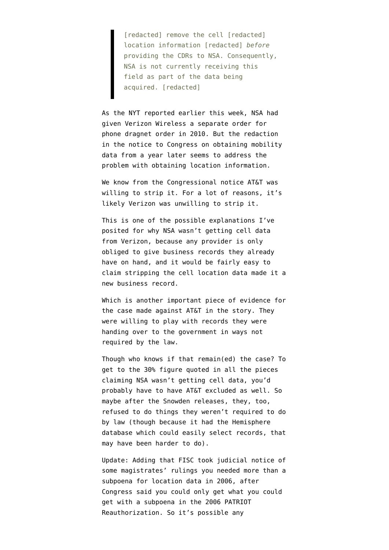[redacted] remove the cell [redacted] location information [redacted] *before* providing the CDRs to NSA. Consequently, NSA is not currently receiving this field as part of the data being acquired. [redacted]

As the NYT reported earlier this week, NSA [had](http://www.nytimes.com/interactive/2015/08/12/us/nsa-foia-documents.html) [given](http://www.nytimes.com/interactive/2015/08/12/us/nsa-foia-documents.html) Verizon Wireless a separate order for phone dragnet order in 2010. But the redaction in the notice to Congress on obtaining mobility data from a year later seems to address the problem with obtaining location information.

We know from the Congressional notice AT&T was willing to strip it. For a lot of reasons, it's likely Verizon was unwilling to strip it.

This is one of the possible explanations I've posited for why NSA wasn't getting cell data from Verizon, because any provider is only obliged to give business records they already have on hand, and it would be fairly easy to claim stripping the cell location data made it a new business record.

Which is another important piece of evidence for the case made against AT&T in the story. They were willing to play with records they were handing over to the government in ways not required by the law.

Though who knows if that remain(ed) the case? To get to the 30% figure quoted in all the pieces claiming NSA wasn't getting cell data, you'd probably have to have AT&T excluded as well. So maybe after the Snowden releases, they, too, refused to do things they weren't required to do by law (though because it had the Hemisphere database which could easily select records, that may have been harder to do).

Update: Adding that FISC [took judicial notice](https://www.emptywheel.net/2014/11/30/the-fbi-prtt-documents-combined-orders/) of some magistrates' rulings you needed more than a subpoena for location data in 2006, after Congress said you could only get what you could get with a subpoena in the 2006 PATRIOT Reauthorization. So it's possible any